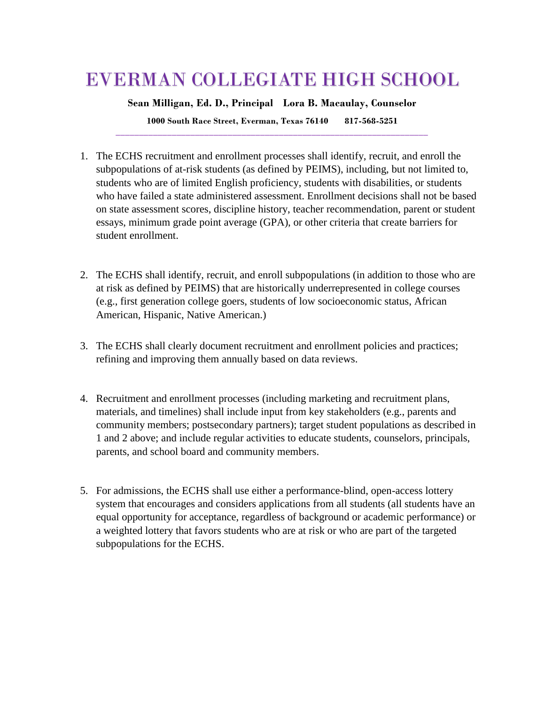## EVERMAN COLLEGIATE HIGH SCHOOL

**Sean Milligan, Ed. D., Principal Lora B. Macaulay, Counselor**

**1000 South Race Street, Everman, Texas 76140 817-568-5251 \_\_\_\_\_\_\_\_\_\_\_\_\_\_\_\_\_\_\_\_\_\_\_\_\_\_\_\_\_\_\_\_\_\_\_\_\_\_\_\_\_\_\_\_\_\_\_\_\_\_\_\_\_\_\_\_\_\_\_\_\_\_\_\_\_\_\_**

- 1. The ECHS recruitment and enrollment processes shall identify, recruit, and enroll the subpopulations of at-risk students (as defined by PEIMS), including, but not limited to, students who are of limited English proficiency, students with disabilities, or students who have failed a state administered assessment. Enrollment decisions shall not be based on state assessment scores, discipline history, teacher recommendation, parent or student essays, minimum grade point average (GPA), or other criteria that create barriers for student enrollment.
- 2. The ECHS shall identify, recruit, and enroll subpopulations (in addition to those who are at risk as defined by PEIMS) that are historically underrepresented in college courses (e.g., first generation college goers, students of low socioeconomic status, African American, Hispanic, Native American.)
- 3. The ECHS shall clearly document recruitment and enrollment policies and practices; refining and improving them annually based on data reviews.
- 4. Recruitment and enrollment processes (including marketing and recruitment plans, materials, and timelines) shall include input from key stakeholders (e.g., parents and community members; postsecondary partners); target student populations as described in 1 and 2 above; and include regular activities to educate students, counselors, principals, parents, and school board and community members.
- 5. For admissions, the ECHS shall use either a performance-blind, open-access lottery system that encourages and considers applications from all students (all students have an equal opportunity for acceptance, regardless of background or academic performance) or a weighted lottery that favors students who are at risk or who are part of the targeted subpopulations for the ECHS.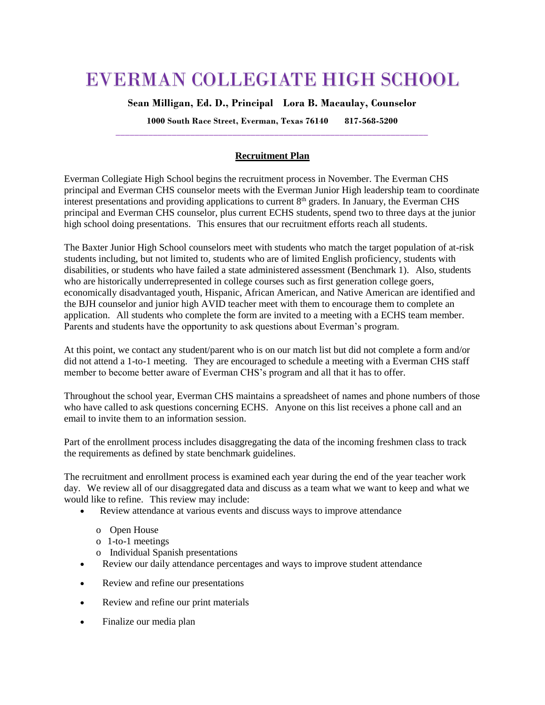## EVERMAN COLLEGIATE HIGH SCHOOL

**Sean Milligan, Ed. D., Principal Lora B. Macaulay, Counselor**

**1000 South Race Street, Everman, Texas 76140 817-568-5200 \_\_\_\_\_\_\_\_\_\_\_\_\_\_\_\_\_\_\_\_\_\_\_\_\_\_\_\_\_\_\_\_\_\_\_\_\_\_\_\_\_\_\_\_\_\_\_\_\_\_\_\_\_\_\_\_\_\_\_\_\_\_\_\_\_\_\_**

## **Recruitment Plan**

Everman Collegiate High School begins the recruitment process in November. The Everman CHS principal and Everman CHS counselor meets with the Everman Junior High leadership team to coordinate interest presentations and providing applications to current  $8<sup>th</sup>$  graders. In January, the Everman CHS principal and Everman CHS counselor, plus current ECHS students, spend two to three days at the junior high school doing presentations. This ensures that our recruitment efforts reach all students.

The Baxter Junior High School counselors meet with students who match the target population of at-risk students including, but not limited to, students who are of limited English proficiency, students with disabilities, or students who have failed a state administered assessment (Benchmark 1). Also, students who are historically underrepresented in college courses such as first generation college goers, economically disadvantaged youth, Hispanic, African American, and Native American are identified and the BJH counselor and junior high AVID teacher meet with them to encourage them to complete an application. All students who complete the form are invited to a meeting with a ECHS team member. Parents and students have the opportunity to ask questions about Everman's program.

At this point, we contact any student/parent who is on our match list but did not complete a form and/or did not attend a 1-to-1 meeting. They are encouraged to schedule a meeting with a Everman CHS staff member to become better aware of Everman CHS's program and all that it has to offer.

Throughout the school year, Everman CHS maintains a spreadsheet of names and phone numbers of those who have called to ask questions concerning ECHS. Anyone on this list receives a phone call and an email to invite them to an information session.

Part of the enrollment process includes disaggregating the data of the incoming freshmen class to track the requirements as defined by state benchmark guidelines.

The recruitment and enrollment process is examined each year during the end of the year teacher work day. We review all of our disaggregated data and discuss as a team what we want to keep and what we would like to refine. This review may include:

- Review attendance at various events and discuss ways to improve attendance
	- o Open House
	- o 1-to-1 meetings
	- o Individual Spanish presentations
- Review our daily attendance percentages and ways to improve student attendance
- Review and refine our presentations
- Review and refine our print materials
- Finalize our media plan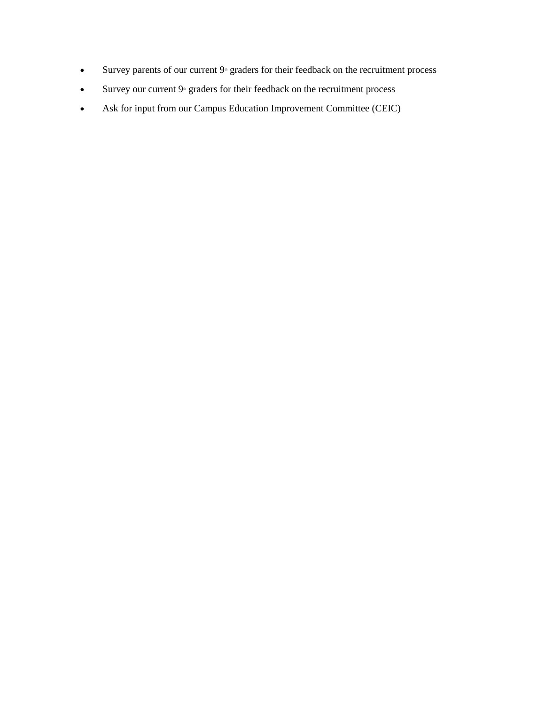- $\bullet$  Survey parents of our current  $9^{\circ}$  graders for their feedback on the recruitment process
- $\bullet$  Survey our current  $9^{\circ}$  graders for their feedback on the recruitment process
- Ask for input from our Campus Education Improvement Committee (CEIC)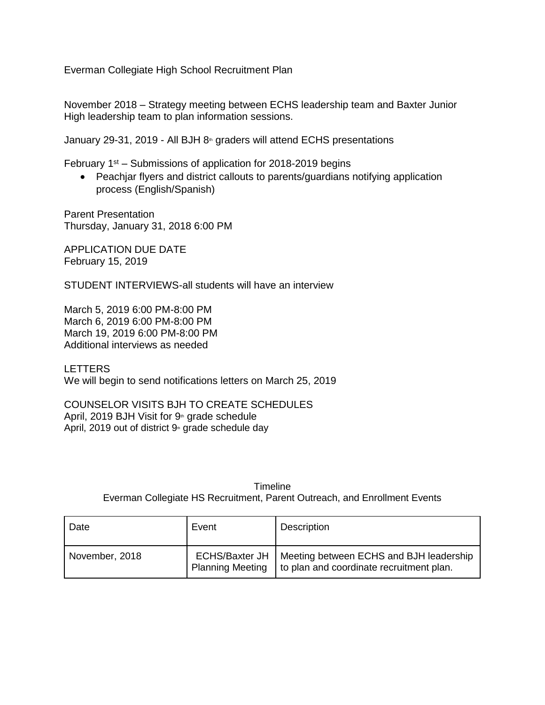Everman Collegiate High School Recruitment Plan

November 2018 – Strategy meeting between ECHS leadership team and Baxter Junior High leadership team to plan information sessions.

January 29-31, 2019 - All BJH  $8<sub>th</sub>$  graders will attend ECHS presentations

February  $1<sup>st</sup>$  – Submissions of application for 2018-2019 begins

 Peachjar flyers and district callouts to parents/guardians notifying application process (English/Spanish)

Parent Presentation Thursday, January 31, 2018 6:00 PM

APPLICATION DUE DATE February 15, 2019

STUDENT INTERVIEWS-all students will have an interview

March 5, 2019 6:00 PM-8:00 PM March 6, 2019 6:00 PM-8:00 PM March 19, 2019 6:00 PM-8:00 PM Additional interviews as needed

LETTERS

We will begin to send notifications letters on March 25, 2019

COUNSELOR VISITS BJH TO CREATE SCHEDULES April, 2019 BJH Visit for  $9<sup>th</sup>$  grade schedule April, 2019 out of district  $9$ <sup>th</sup> grade schedule day

> Timeline Everman Collegiate HS Recruitment, Parent Outreach, and Enrollment Events

| Date           | Event                                            | Description                                                                         |
|----------------|--------------------------------------------------|-------------------------------------------------------------------------------------|
| November, 2018 | <b>ECHS/Baxter JH</b><br><b>Planning Meeting</b> | Meeting between ECHS and BJH leadership<br>to plan and coordinate recruitment plan. |